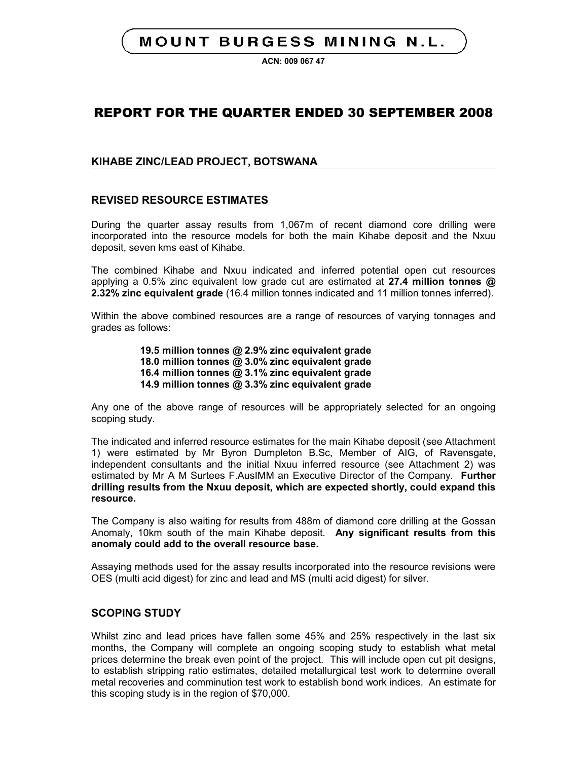## **MOUNT BURGESS MINING N.L.**

**ACN: 009 067 47**

## REPORT FOR THE QUARTER ENDED 30 SEPTEMBER 2008

## **KIHABE ZINC/LEAD PROJECT, BOTSWANA**

## **REVISED RESOURCE ESTIMATES**

During the quarter assay results from 1,067m of recent diamond core drilling were incorporated into the resource models for both the main Kihabe deposit and the Nxuu deposit, seven kms east of Kihabe.

The combined Kihabe and Nxuu indicated and inferred potential open cut resources applying a 0.5% zinc equivalent low grade cut are estimated at **27.4 million tonnes @ 2.32% zinc equivalent grade** (16.4 million tonnes indicated and 11 million tonnes inferred).

Within the above combined resources are a range of resources of varying tonnages and grades as follows:

> **19.5 million tonnes @ 2.9% zinc equivalent grade 18.0 million tonnes @ 3.0% zinc equivalent grade 16.4 million tonnes @ 3.1% zinc equivalent grade 14.9 million tonnes @ 3.3% zinc equivalent grade**

Any one of the above range of resources will be appropriately selected for an ongoing scoping study.

The indicated and inferred resource estimates for the main Kihabe deposit (see Attachment 1) were estimated by Mr Byron Dumpleton B.Sc, Member of AIG, of Ravensgate, independent consultants and the initial Nxuu inferred resource (see Attachment 2) was estimated by Mr A M Surtees F.AusIMM an Executive Director of the Company. **Further drilling results from the Nxuu deposit, which are expected shortly, could expand this resource.**

The Company is also waiting for results from 488m of diamond core drilling at the Gossan Anomaly, 10km south of the main Kihabe deposit. **Any significant results from this anomaly could add to the overall resource base.**

Assaying methods used for the assay results incorporated into the resource revisions were OES (multi acid digest) for zinc and lead and MS (multi acid digest) for silver.

### **SCOPING STUDY**

Whilst zinc and lead prices have fallen some 45% and 25% respectively in the last six months, the Company will complete an ongoing scoping study to establish what metal prices determine the break even point of the project. This will include open cut pit designs, to establish stripping ratio estimates, detailed metallurgical test work to determine overall metal recoveries and comminution test work to establish bond work indices. An estimate for this scoping study is in the region of \$70,000.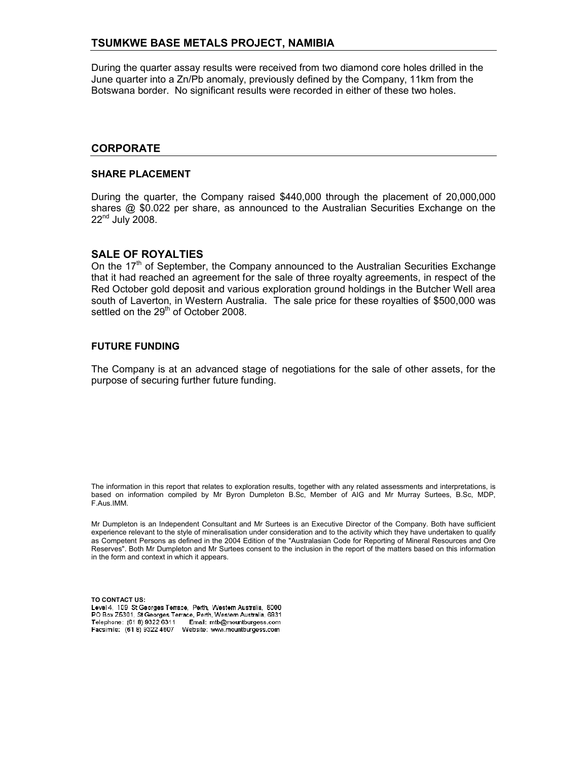### **TSUMKWE BASE METALS PROJECT, NAMIBIA**

During the quarter assay results were received from two diamond core holes drilled in the June quarter into a Zn/Pb anomaly, previously defined by the Company, 11km from the Botswana border. No significant results were recorded in either of these two holes.

#### **CORPORATE**

#### **SHARE PLACEMENT**

During the quarter, the Company raised \$440,000 through the placement of 20,000,000 shares @ \$0.022 per share, as announced to the Australian Securities Exchange on the 22<sup>nd</sup> July 2008.

#### **SALE OF ROYALTIES**

On the  $17<sup>th</sup>$  of September, the Company announced to the Australian Securities Exchange that it had reached an agreement for the sale of three royalty agreements, in respect of the Red October gold deposit and various exploration ground holdings in the Butcher Well area south of Laverton, in Western Australia. The sale price for these royalties of \$500,000 was settled on the 29<sup>th</sup> of October 2008.

#### **FUTURE FUNDING**

The Company is at an advanced stage of negotiations for the sale of other assets, for the purpose of securing further future funding.

The information in this report that relates to exploration results, together with any related assessments and interpretations, is based on information compiled by Mr Byron Dumpleton B.Sc, Member of AIG and Mr Murray Surtees, B.Sc, MDP, F.Aus.IMM.

Mr Dumpleton is an Independent Consultant and Mr Surtees is an Executive Director of the Company. Both have sufficient experience relevant to the style of mineralisation under consideration and to the activity which they have undertaken to qualify as Competent Persons as defined in the 2004 Edition of the "Australasian Code for Reporting of Mineral Resources and Ore Reserves". Both Mr Dumpleton and Mr Surtees consent to the inclusion in the report of the matters based on this information in the form and context in which it appears.

**TO CONTACT US:**PO Box Z5301, St Georges Terrace, Perth, Western Australia, 6831<br>Telephone: (61 8) 9322 6311 Email: mtb@mountburgess.com Telephone: (618) 9322 6311 Facsimile: (61 8) 9322 4607 Website: www.mountburgess.com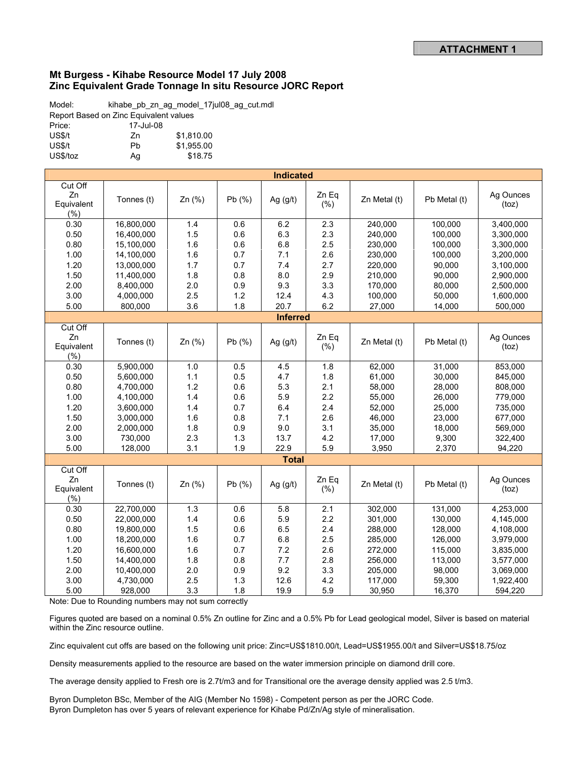#### **Mt Burgess - Kihabe Resource Model 17 July 2008 Zinc Equivalent Grade Tonnage In situ Resource JORC Report**

Model: kihabe\_pb\_zn\_ag\_model\_17jul08\_ag\_cut.mdl Report Based on Zinc Equivalent values Price: 17-Jul-08 US\$/t Zn \$1,810.00 US\$/t Pb \$1,955.00 US\$/toz Ag \$18.75

| <b>Indicated</b> |            |        |        |                 |              |              |              |                    |
|------------------|------------|--------|--------|-----------------|--------------|--------------|--------------|--------------------|
| Cut Off          |            |        |        |                 |              |              |              |                    |
| Zn               | Tonnes (t) | Zn (%) | Pb(%)  | Ag $(g/t)$      | Zn Eg        | Zn Metal (t) | Pb Metal (t) | Ag Ounces          |
| Equivalent       |            |        |        |                 | $(\% )$      |              |              | (toz)              |
| (% )             |            |        |        |                 |              |              |              |                    |
| 0.30             | 16,800,000 | 1.4    | 0.6    | 6.2             | 2.3          | 240,000      | 100,000      | 3,400,000          |
| 0.50             | 16,400,000 | 1.5    | 0.6    | 6.3             | 2.3          | 240,000      | 100,000      | 3,300,000          |
| 0.80             | 15,100,000 | 1.6    | 0.6    | 6.8             | 2.5          | 230,000      | 100,000      | 3,300,000          |
| 1.00             | 14,100,000 | 1.6    | 0.7    | 7.1             | 2.6          | 230,000      | 100,000      | 3,200,000          |
| 1.20             | 13,000,000 | 1.7    | 0.7    | 7.4             | 2.7          | 220,000      | 90,000       | 3,100,000          |
| 1.50             | 11,400,000 | 1.8    | 0.8    | 8.0             | 2.9          | 210,000      | 90,000       | 2,900,000          |
| 2.00             | 8,400,000  | 2.0    | 0.9    | 9.3             | 3.3          | 170,000      | 80,000       | 2,500,000          |
| 3.00             | 4,000,000  | 2.5    | 1.2    | 12.4            | 4.3          | 100,000      | 50,000       | 1,600,000          |
| 5.00             | 800,000    | 3.6    | 1.8    | 20.7            | 6.2          | 27,000       | 14,000       | 500,000            |
|                  |            |        |        | <b>Inferred</b> |              |              |              |                    |
| Cut Off          |            |        |        |                 |              |              |              |                    |
| Zn               | Tonnes (t) | Zn (%) | Pb(%)  | Ag $(g/t)$      | Zn Eq        | Zn Metal (t) | Pb Metal (t) | Ag Ounces          |
| Equivalent       |            |        |        |                 | $(\% )$      |              |              | (toz)              |
| (%)              |            |        |        |                 |              |              |              |                    |
| 0.30             | 5,900,000  | 1.0    | 0.5    | 4.5             | 1.8          | 62,000       | 31,000       | 853,000            |
| 0.50             | 5,600,000  | 1.1    | 0.5    | 4.7             | 1.8          | 61,000       | 30,000       | 845,000            |
| 0.80             | 4,700,000  | 1.2    | 0.6    | 5.3             | 2.1          | 58,000       | 28,000       | 808,000            |
| 1.00             | 4,100,000  | 1.4    | 0.6    | 5.9             | 2.2          | 55,000       | 26,000       | 779,000            |
| 1.20             | 3,600,000  | 1.4    | 0.7    | 6.4             | 2.4          | 52,000       | 25,000       | 735,000            |
| 1.50             | 3,000,000  | 1.6    | 0.8    | 7.1             | 2.6          | 46,000       | 23,000       | 677,000            |
| 2.00             | 2,000,000  | 1.8    | 0.9    | 9.0             | 3.1          | 35,000       | 18,000       | 569,000            |
| 3.00             | 730,000    | 2.3    | 1.3    | 13.7            | 4.2          | 17,000       | 9,300        | 322,400            |
| 5.00             | 128,000    | 3.1    | 1.9    | 22.9            | 5.9          | 3,950        | 2,370        | 94,220             |
|                  |            |        |        | <b>Total</b>    |              |              |              |                    |
| Cut Off          |            |        |        |                 |              |              |              |                    |
| Zn<br>Equivalent | Tonnes (t) | Zn (%) | Pb (%) | Ag $(g/t)$      | Zn Eg<br>(%) | Zn Metal (t) | Pb Metal (t) | Ag Ounces<br>(toz) |
| (%)              |            |        |        |                 |              |              |              |                    |
| 0.30             | 22,700,000 | 1.3    | 0.6    | 5.8             | 2.1          | 302,000      | 131,000      | 4,253,000          |
| 0.50             | 22,000,000 | 1.4    | 0.6    | 5.9             | 2.2          | 301,000      | 130,000      | 4,145,000          |
| 0.80             | 19,800,000 | 1.5    | 0.6    | 6.5             | 2.4          | 288,000      | 128,000      | 4,108,000          |
| 1.00             | 18,200,000 | 1.6    | 0.7    | 6.8             | 2.5          | 285,000      | 126,000      | 3,979,000          |
| 1.20             | 16,600,000 | 1.6    | 0.7    | 7.2             | 2.6          | 272,000      | 115,000      | 3,835,000          |
| 1.50             | 14,400,000 | 1.8    | 0.8    | 7.7             | 2.8          | 256,000      | 113,000      | 3,577,000          |
| 2.00             | 10,400,000 | 2.0    | 0.9    | 9.2             | 3.3          | 205,000      | 98,000       | 3,069,000          |
| 3.00             | 4,730,000  | 2.5    | 1.3    | 12.6            | 4.2          | 117,000      | 59,300       | 1,922,400          |
| 5.00             | 928,000    | 3.3    | 1.8    | 19.9            | 5.9          | 30,950       | 16,370       | 594,220            |

Note: Due to Rounding numbers may not sum correctly

Figures quoted are based on a nominal 0.5% Zn outline for Zinc and a 0.5% Pb for Lead geological model, Silver is based on material within the Zinc resource outline.

Zinc equivalent cut offs are based on the following unit price: Zinc=US\$1810.00/t, Lead=US\$1955.00/t and Silver=US\$18.75/oz

Density measurements applied to the resource are based on the water immersion principle on diamond drill core.

The average density applied to Fresh ore is 2.7t/m3 and for Transitional ore the average density applied was 2.5 t/m3.

Byron Dumpleton BSc, Member of the AIG (Member No 1598) - Competent person as per the JORC Code. Byron Dumpleton has over 5 years of relevant experience for Kihabe Pd/Zn/Ag style of mineralisation.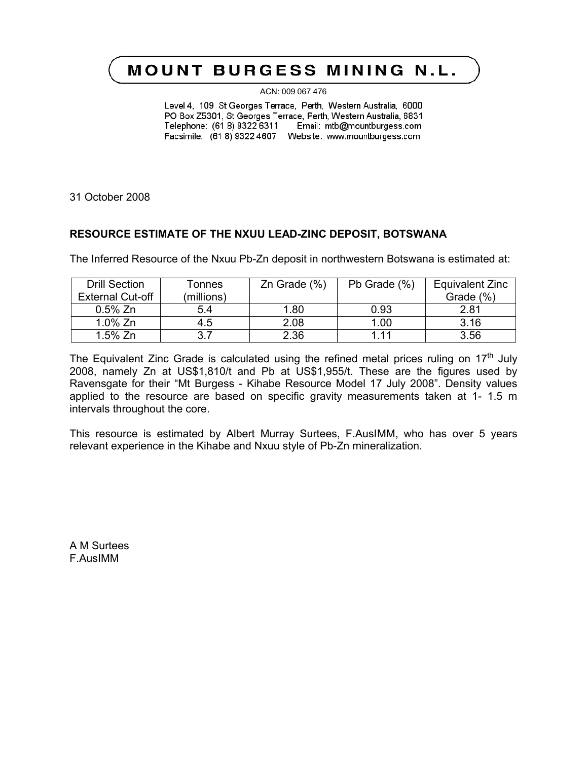# **MOUNT BURGESS MINING N.L.**

ACN: 009 067 476

Level 4, 109 St Georges Terrace, Perth, Western Australia, 6000 PO Box Z5301, St Georges Terrace, Perth, Western Australia, 6831 Telephone: (61 8) 9322 6311 Email: mtb@mountburgess.com Facsimile: (61 8) 9322 4607 Website: www.mountburgess.com

31 October 2008

## **RESOURCE ESTIMATE OF THE NXUU LEAD-ZINC DEPOSIT, BOTSWANA**

The Inferred Resource of the Nxuu Pb-Zn deposit in northwestern Botswana is estimated at:

| <b>Drill Section</b>    | Tonnes     | $Zn$ Grade $(\%)$ | Pb Grade (%) | Equivalent Zinc |
|-------------------------|------------|-------------------|--------------|-----------------|
| <b>External Cut-off</b> | (millions) |                   |              | Grade (%)       |
| $0.5\%$ Zn              | 5.4        | 1.80              | 0.93         | 2.81            |
| $1.0\%$ Zn              | 4.5        | 2.08              | 1.00         | 3.16            |
| $1.5%$ Zn               | 3.7        | 2.36              | 1 1 1        | 3.56            |

The Equivalent Zinc Grade is calculated using the refined metal prices ruling on  $17<sup>th</sup>$  July 2008, namely Zn at US\$1,810/t and Pb at US\$1,955/t. These are the figures used by Ravensgate for their "Mt Burgess - Kihabe Resource Model 17 July 2008". Density values applied to the resource are based on specific gravity measurements taken at 1- 1.5 m intervals throughout the core.

This resource is estimated by Albert Murray Surtees, F.AusIMM, who has over 5 years relevant experience in the Kihabe and Nxuu style of Pb-Zn mineralization.

A M Surtees F.AusIMM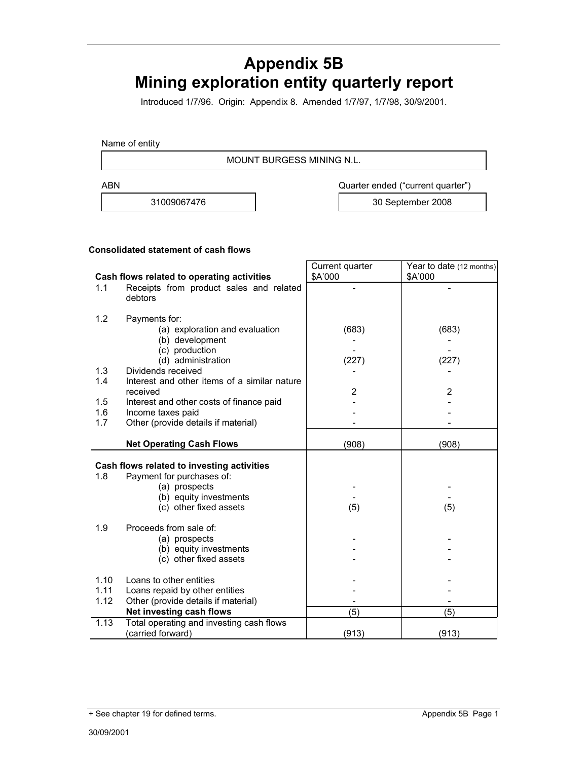# **Appendix 5B Mining exploration entity quarterly report**

Introduced 1/7/96. Origin: Appendix 8. Amended 1/7/97, 1/7/98, 30/9/2001.

Name of entity

MOUNT BURGESS MINING N.L.

ABN **ABN** Quarter ended ("current quarter")

31009067476 30 September 2008

#### **Consolidated statement of cash flows**

|                                            |                                                               | Current quarter | Year to date (12 months) |
|--------------------------------------------|---------------------------------------------------------------|-----------------|--------------------------|
| Cash flows related to operating activities |                                                               | \$A'000         | \$A'000                  |
| 1.1                                        | Receipts from product sales and related<br>debtors            |                 |                          |
| 1.2                                        | Payments for:                                                 |                 |                          |
|                                            | (a) exploration and evaluation                                | (683)           | (683)                    |
|                                            | (b) development                                               |                 |                          |
|                                            | (c) production                                                |                 |                          |
|                                            | (d) administration                                            | (227)           | (227)                    |
| 1.3                                        | Dividends received                                            |                 |                          |
| 1.4                                        | Interest and other items of a similar nature                  |                 |                          |
| 1.5                                        | received                                                      | 2               | 2                        |
| 1.6                                        | Interest and other costs of finance paid<br>Income taxes paid |                 |                          |
| 1.7                                        | Other (provide details if material)                           |                 |                          |
|                                            |                                                               |                 |                          |
|                                            | <b>Net Operating Cash Flows</b>                               | (908)           | (908)                    |
|                                            | Cash flows related to investing activities                    |                 |                          |
| 1.8                                        | Payment for purchases of:                                     |                 |                          |
|                                            | (a) prospects                                                 |                 |                          |
|                                            | (b) equity investments                                        |                 |                          |
|                                            | (c) other fixed assets                                        | (5)             | (5)                      |
|                                            |                                                               |                 |                          |
| 1.9                                        | Proceeds from sale of:                                        |                 |                          |
|                                            | (a) prospects                                                 |                 |                          |
|                                            | (b) equity investments                                        |                 |                          |
|                                            | (c) other fixed assets                                        |                 |                          |
| 1.10                                       | Loans to other entities                                       |                 |                          |
| 1.11                                       | Loans repaid by other entities                                |                 |                          |
| 1.12                                       | Other (provide details if material)                           |                 |                          |
|                                            | Net investing cash flows                                      | (5)             | (5)                      |
| 1.13                                       | Total operating and investing cash flows                      |                 |                          |
|                                            | (carried forward)                                             | (913)           | (913)                    |

<sup>+</sup> See chapter 19 for defined terms. Appendix 5B Page 1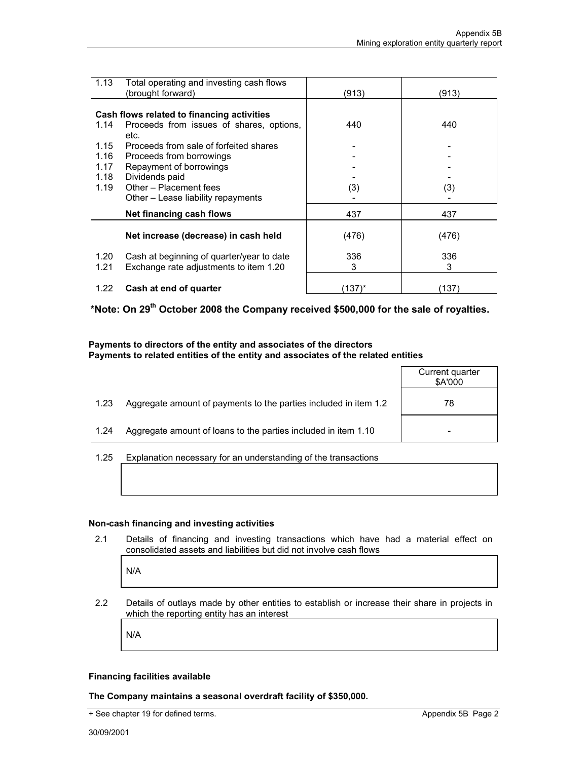| 1.13 | Total operating and investing cash flows<br>(brought forward) | (913)  | (913) |
|------|---------------------------------------------------------------|--------|-------|
|      |                                                               |        |       |
|      | Cash flows related to financing activities                    |        |       |
| 1.14 | Proceeds from issues of shares, options,                      | 440    | 440   |
|      | etc.                                                          |        |       |
| 1.15 | Proceeds from sale of forfeited shares                        |        |       |
| 1.16 | Proceeds from borrowings                                      |        |       |
| 1.17 | Repayment of borrowings                                       |        |       |
| 1.18 | Dividends paid                                                |        |       |
| 1.19 | Other - Placement fees                                        | (3)    | (3)   |
|      | Other – Lease liability repayments                            |        |       |
|      | Net financing cash flows                                      | 437    | 437   |
|      |                                                               |        |       |
|      | Net increase (decrease) in cash held                          | (476)  | (476) |
| 1.20 | Cash at beginning of quarter/year to date                     | 336    | 336   |
| 1.21 | Exchange rate adjustments to item 1.20                        | 3      | 3     |
|      |                                                               |        |       |
| 1.22 | Cash at end of quarter                                        | (137)* | (137) |

**\*Note: On 29th October 2008 the Company received \$500,000 for the sale of royalties.**

#### **Payments to directors of the entity and associates of the directors Payments to related entities of the entity and associates of the related entities**

|      |                                                                  | Current quarter<br>\$A'000 |
|------|------------------------------------------------------------------|----------------------------|
| 1.23 | Aggregate amount of payments to the parties included in item 1.2 | 78                         |
| 1.24 | Aggregate amount of loans to the parties included in item 1.10   |                            |
|      |                                                                  |                            |

#### 1.25 Explanation necessary for an understanding of the transactions

#### **Non-cash financing and investing activities**

2.1 Details of financing and investing transactions which have had a material effect on consolidated assets and liabilities but did not involve cash flows

N/A

2.2 Details of outlays made by other entities to establish or increase their share in projects in which the reporting entity has an interest

N/A

#### **Financing facilities available**

**The Company maintains a seasonal overdraft facility of \$350,000.**

<sup>+</sup> See chapter 19 for defined terms. Appendix 5B Page 2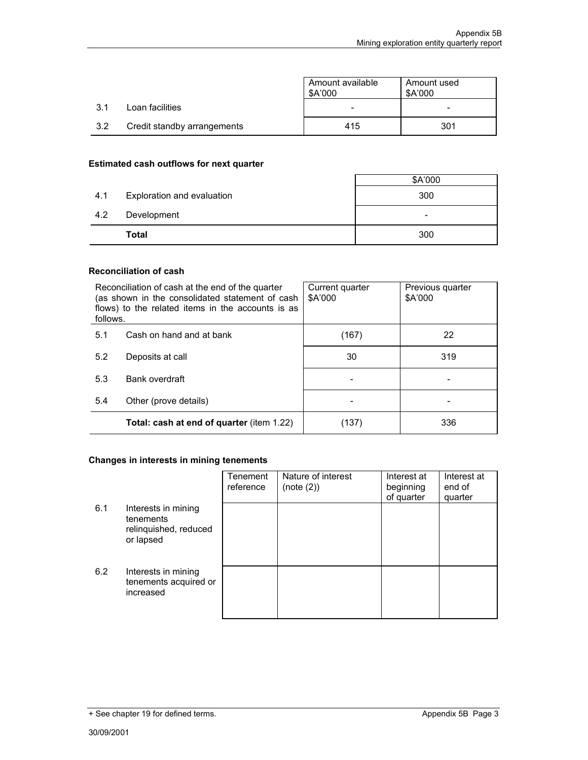|     |                             | Amount available<br>\$A'000 | Amount used<br>\$A'000 |
|-----|-----------------------------|-----------------------------|------------------------|
| 3.1 | Loan facilities             |                             |                        |
| 3.2 | Credit standby arrangements | 415                         | 301                    |

#### **Estimated cash outflows for next quarter**

|     |                            | \$A'000                  |
|-----|----------------------------|--------------------------|
| 4.1 | Exploration and evaluation | 300                      |
| 4.2 | Development                | $\overline{\phantom{0}}$ |
|     | Total                      | 300                      |

r

#### **Reconciliation of cash**

| Reconciliation of cash at the end of the quarter<br>(as shown in the consolidated statement of cash<br>flows) to the related items in the accounts is as<br>follows. |                                                  | Current quarter<br>\$A'000 | Previous quarter<br>\$A'000 |
|----------------------------------------------------------------------------------------------------------------------------------------------------------------------|--------------------------------------------------|----------------------------|-----------------------------|
| 5.1                                                                                                                                                                  | Cash on hand and at bank                         | (167)                      | 22                          |
| 5.2                                                                                                                                                                  | Deposits at call                                 | 30                         | 319                         |
| 5.3                                                                                                                                                                  | Bank overdraft                                   |                            |                             |
| 5.4                                                                                                                                                                  | Other (prove details)                            |                            |                             |
|                                                                                                                                                                      | <b>Total: cash at end of quarter (item 1.22)</b> | (137)                      | 336                         |

#### **Changes in interests in mining tenements**

|     |                                                                        | Tenement<br>reference | Nature of interest<br>(note (2)) | Interest at<br>beginning<br>of quarter | Interest at<br>end of<br>quarter |
|-----|------------------------------------------------------------------------|-----------------------|----------------------------------|----------------------------------------|----------------------------------|
| 6.1 | Interests in mining<br>tenements<br>relinquished, reduced<br>or lapsed |                       |                                  |                                        |                                  |
| 6.2 | Interests in mining<br>tenements acquired or<br>increased              |                       |                                  |                                        |                                  |

<sup>+</sup> See chapter 19 for defined terms. Appendix 5B Page 3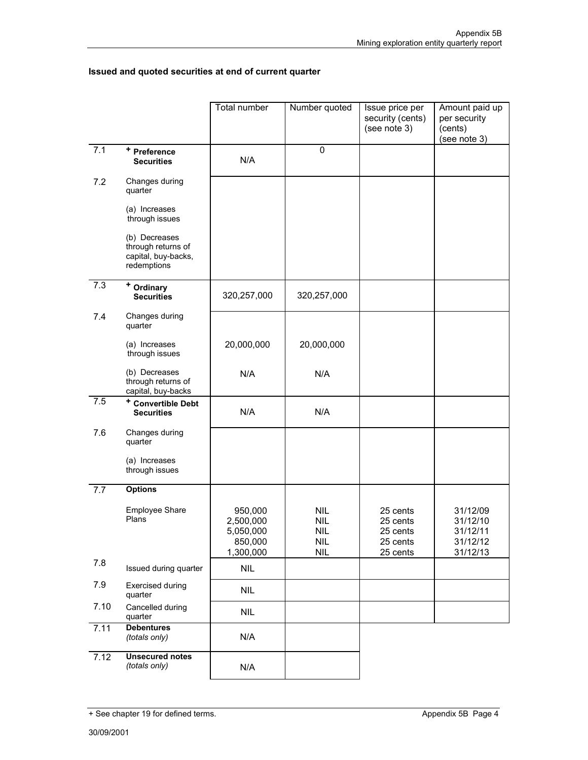## **Issued and quoted securities at end of current quarter**

|      |                                                                           | Total number                                              | Number quoted                                                      | Issue price per<br>security (cents)<br>(see note 3)      | Amount paid up<br>per security<br>(cents)<br>(see note 3) |
|------|---------------------------------------------------------------------------|-----------------------------------------------------------|--------------------------------------------------------------------|----------------------------------------------------------|-----------------------------------------------------------|
| 7.1  | + Preference<br><b>Securities</b>                                         | N/A                                                       | 0                                                                  |                                                          |                                                           |
| 7.2  | Changes during<br>quarter                                                 |                                                           |                                                                    |                                                          |                                                           |
|      | (a) Increases<br>through issues                                           |                                                           |                                                                    |                                                          |                                                           |
|      | (b) Decreases<br>through returns of<br>capital, buy-backs,<br>redemptions |                                                           |                                                                    |                                                          |                                                           |
| 7.3  | + Ordinary<br><b>Securities</b>                                           | 320,257,000                                               | 320,257,000                                                        |                                                          |                                                           |
| 7.4  | Changes during<br>quarter                                                 |                                                           |                                                                    |                                                          |                                                           |
|      | (a) Increases<br>through issues                                           | 20,000,000                                                | 20,000,000                                                         |                                                          |                                                           |
|      | (b) Decreases<br>through returns of<br>capital, buy-backs                 | N/A                                                       | N/A                                                                |                                                          |                                                           |
| 7.5  | <sup>+</sup> Convertible Debt<br><b>Securities</b>                        | N/A                                                       | N/A                                                                |                                                          |                                                           |
| 7.6  | Changes during<br>quarter                                                 |                                                           |                                                                    |                                                          |                                                           |
|      | (a) Increases<br>through issues                                           |                                                           |                                                                    |                                                          |                                                           |
| 7.7  | <b>Options</b>                                                            |                                                           |                                                                    |                                                          |                                                           |
|      | <b>Employee Share</b><br>Plans                                            | 950,000<br>2,500,000<br>5,050,000<br>850,000<br>1,300,000 | <b>NIL</b><br><b>NIL</b><br><b>NIL</b><br><b>NIL</b><br><b>NIL</b> | 25 cents<br>25 cents<br>25 cents<br>25 cents<br>25 cents | 31/12/09<br>31/12/10<br>31/12/11<br>31/12/12<br>31/12/13  |
| 7.8  | Issued during quarter                                                     | <b>NIL</b>                                                |                                                                    |                                                          |                                                           |
| 7.9  | <b>Exercised during</b><br>quarter                                        | <b>NIL</b>                                                |                                                                    |                                                          |                                                           |
| 7.10 | Cancelled during<br>quarter                                               | <b>NIL</b>                                                |                                                                    |                                                          |                                                           |
| 7.11 | <b>Debentures</b><br>(totals only)                                        | N/A                                                       |                                                                    |                                                          |                                                           |
| 7.12 | <b>Unsecured notes</b><br>(totals only)                                   | N/A                                                       |                                                                    |                                                          |                                                           |

<sup>+</sup> See chapter 19 for defined terms. Appendix 5B Page 4